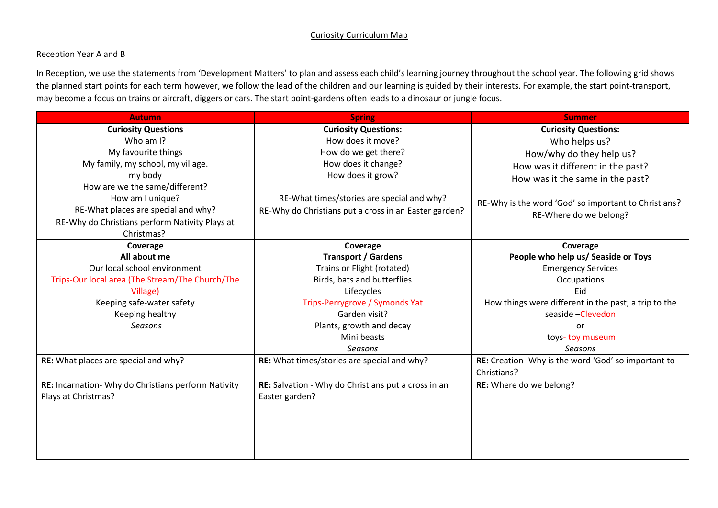### Curiosity Curriculum Map

#### Reception Year A and B

In Reception, we use the statements from 'Development Matters' to plan and assess each child's learning journey throughout the school year. The following grid shows the planned start points for each term however, we follow the lead of the children and our learning is guided by their interests. For example, the start point-transport, may become a focus on trains or aircraft, diggers or cars. The start point-gardens often leads to a dinosaur or jungle focus.

| <b>Autumn</b>                                       | <b>Spring</b>                                         | <b>Summer</b>                                        |
|-----------------------------------------------------|-------------------------------------------------------|------------------------------------------------------|
| <b>Curiosity Questions</b>                          | <b>Curiosity Questions:</b>                           | <b>Curiosity Questions:</b>                          |
| Who am I?                                           | How does it move?                                     | Who helps us?                                        |
| My favourite things                                 | How do we get there?                                  | How/why do they help us?                             |
| My family, my school, my village.                   | How does it change?                                   | How was it different in the past?                    |
| my body                                             | How does it grow?                                     | How was it the same in the past?                     |
| How are we the same/different?                      |                                                       |                                                      |
| How am I unique?                                    | RE-What times/stories are special and why?            | RE-Why is the word 'God' so important to Christians? |
| RE-What places are special and why?                 | RE-Why do Christians put a cross in an Easter garden? | RE-Where do we belong?                               |
| RE-Why do Christians perform Nativity Plays at      |                                                       |                                                      |
| Christmas?                                          |                                                       |                                                      |
| Coverage                                            | Coverage                                              | Coverage                                             |
| All about me                                        | <b>Transport / Gardens</b>                            | People who help us/ Seaside or Toys                  |
| Our local school environment                        | Trains or Flight (rotated)                            | <b>Emergency Services</b>                            |
| Trips-Our local area (The Stream/The Church/The     | Birds, bats and butterflies                           | Occupations                                          |
| Village)                                            | Lifecycles                                            | Eid                                                  |
| Keeping safe-water safety                           | Trips-Perrygrove / Symonds Yat                        | How things were different in the past; a trip to the |
| Keeping healthy                                     | Garden visit?                                         | seaside - Clevedon                                   |
| Seasons                                             | Plants, growth and decay                              | or                                                   |
|                                                     | Mini beasts                                           | toys-toy museum                                      |
|                                                     | Seasons                                               | Seasons                                              |
| RE: What places are special and why?                | RE: What times/stories are special and why?           | RE: Creation- Why is the word 'God' so important to  |
|                                                     |                                                       | Christians?                                          |
| RE: Incarnation- Why do Christians perform Nativity | RE: Salvation - Why do Christians put a cross in an   | RE: Where do we belong?                              |
| Plays at Christmas?                                 | Easter garden?                                        |                                                      |
|                                                     |                                                       |                                                      |
|                                                     |                                                       |                                                      |
|                                                     |                                                       |                                                      |
|                                                     |                                                       |                                                      |
|                                                     |                                                       |                                                      |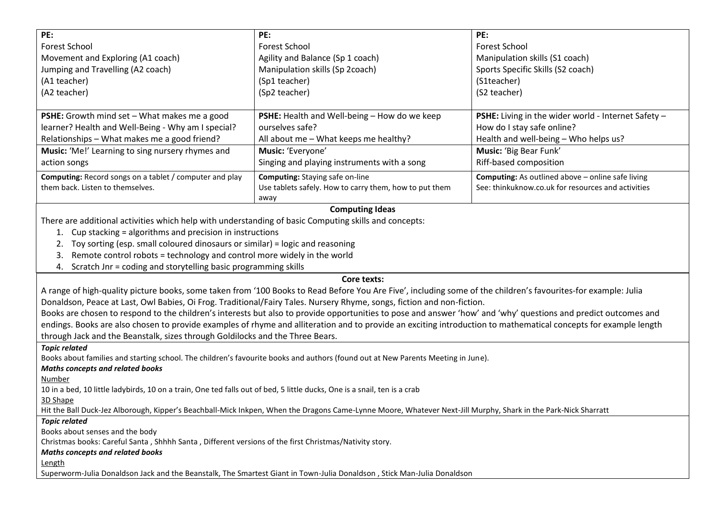| PE:                                                                                                   | PE:                                                    | PE:                                                      |
|-------------------------------------------------------------------------------------------------------|--------------------------------------------------------|----------------------------------------------------------|
| <b>Forest School</b>                                                                                  | <b>Forest School</b>                                   | Forest School                                            |
| Movement and Exploring (A1 coach)                                                                     | Agility and Balance (Sp 1 coach)                       | Manipulation skills (S1 coach)                           |
| Jumping and Travelling (A2 coach)                                                                     | Manipulation skills (Sp 2coach)                        | Sports Specific Skills (S2 coach)                        |
| (A1 teacher)                                                                                          | (Sp1 teacher)                                          | (S1teacher)                                              |
| (A2 teacher)                                                                                          | (Sp2 teacher)                                          | (S2 teacher)                                             |
|                                                                                                       |                                                        |                                                          |
| <b>PSHE:</b> Growth mind set - What makes me a good                                                   | PSHE: Health and Well-being - How do we keep           | PSHE: Living in the wider world - Internet Safety -      |
| learner? Health and Well-Being - Why am I special?                                                    | ourselves safe?                                        | How do I stay safe online?                               |
| Relationships - What makes me a good friend?                                                          | All about me - What keeps me healthy?                  | Health and well-being - Who helps us?                    |
| Music: 'Me!' Learning to sing nursery rhymes and                                                      | Music: 'Everyone'                                      | Music: 'Big Bear Funk'                                   |
| action songs                                                                                          | Singing and playing instruments with a song            | Riff-based composition                                   |
| <b>Computing:</b> Record songs on a tablet / computer and play                                        | <b>Computing:</b> Staying safe on-line                 | <b>Computing:</b> As outlined above - online safe living |
| them back. Listen to themselves.                                                                      | Use tablets safely. How to carry them, how to put them | See: thinkuknow.co.uk for resources and activities       |
|                                                                                                       | away                                                   |                                                          |
| <b>Computing Ideas</b>                                                                                |                                                        |                                                          |
| There are additional activities which help with understanding of basic Computing skills and concepts: |                                                        |                                                          |
| Cup stacking = algorithms and precision in instructions                                               |                                                        |                                                          |
| Toy sorting (esp. small coloured dinosaurs or similar) = logic and reasoning                          |                                                        |                                                          |
| Remote control robots = technology and control more widely in the world<br>3.                         |                                                        |                                                          |

4. Scratch Jnr = coding and storytelling basic programming skills

## **Core texts:**

A range of high-quality picture books, some taken from '100 Books to Read Before You Are Five', including some of the children's favourites-for example: Julia Donaldson, Peace at Last, Owl Babies, Oi Frog. Traditional/Fairy Tales. Nursery Rhyme, songs, fiction and non-fiction.

Books are chosen to respond to the children's interests but also to provide opportunities to pose and answer 'how' and 'why' questions and predict outcomes and endings. Books are also chosen to provide examples of rhyme and alliteration and to provide an exciting introduction to mathematical concepts for example length through Jack and the Beanstalk, sizes through Goldilocks and the Three Bears.

*Topic related*

Books about families and starting school. The children's favourite books and authors (found out at New Parents Meeting in June).

*Maths concepts and related books*

Number

10 in a bed, 10 little ladybirds, 10 on a train, One ted falls out of bed, 5 little ducks, One is a snail, ten is a crab

3D Shape

Hit the Ball Duck-Jez Alborough, Kipper's Beachball-Mick Inkpen, When the Dragons Came-Lynne Moore, Whatever Next-Jill Murphy, Shark in the Park-Nick Sharratt

*Topic related*

Books about senses and the body

Christmas books: Careful Santa , Shhhh Santa , Different versions of the first Christmas/Nativity story.

*Maths concepts and related books*

Length

Superworm-Julia Donaldson Jack and the Beanstalk, The Smartest Giant in Town-Julia Donaldson , Stick Man-Julia Donaldson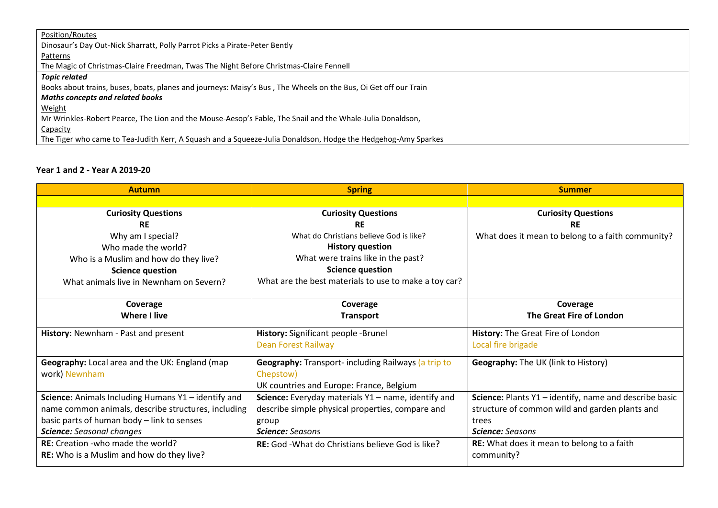| Position/Routes                                                                                                 |
|-----------------------------------------------------------------------------------------------------------------|
| Dinosaur's Day Out-Nick Sharratt, Polly Parrot Picks a Pirate-Peter Bently                                      |
| Patterns                                                                                                        |
| The Magic of Christmas-Claire Freedman, Twas The Night Before Christmas-Claire Fennell                          |
| <b>Topic related</b>                                                                                            |
| Books about trains, buses, boats, planes and journeys: Maisy's Bus, The Wheels on the Bus, Oi Get off our Train |
| <b>Maths concepts and related books</b>                                                                         |
| <b>Weight</b>                                                                                                   |
| Mr Wrinkles-Robert Pearce, The Lion and the Mouse-Aesop's Fable, The Snail and the Whale-Julia Donaldson,       |
| Capacity                                                                                                        |
| The Tiger who came to Tea-Judith Kerr, A Squash and a Squeeze-Julia Donaldson, Hodge the Hedgehog-Amy Sparkes   |

# **Year 1 and 2 - Year A 2019-20**

| <b>Autumn</b>                                       | <b>Spring</b>                                         | <b>Summer</b>                                          |
|-----------------------------------------------------|-------------------------------------------------------|--------------------------------------------------------|
|                                                     |                                                       |                                                        |
| <b>Curiosity Questions</b>                          | <b>Curiosity Questions</b>                            | <b>Curiosity Questions</b>                             |
| <b>RE</b>                                           | <b>RE</b>                                             | <b>RE</b>                                              |
| Why am I special?                                   | What do Christians believe God is like?               | What does it mean to belong to a faith community?      |
| Who made the world?                                 | <b>History question</b>                               |                                                        |
| Who is a Muslim and how do they live?               | What were trains like in the past?                    |                                                        |
| <b>Science question</b>                             | <b>Science question</b>                               |                                                        |
| What animals live in Newnham on Severn?             | What are the best materials to use to make a toy car? |                                                        |
|                                                     |                                                       |                                                        |
| Coverage                                            | Coverage                                              | Coverage                                               |
| <b>Where I live</b>                                 | <b>Transport</b>                                      | The Great Fire of London                               |
| History: Newnham - Past and present                 | History: Significant people -Brunel                   | History: The Great Fire of London                      |
|                                                     | <b>Dean Forest Railway</b>                            | Local fire brigade                                     |
| Geography: Local area and the UK: England (map      | Geography: Transport- including Railways (a trip to   | Geography: The UK (link to History)                    |
| work) Newnham                                       | Chepstow)                                             |                                                        |
|                                                     | UK countries and Europe: France, Belgium              |                                                        |
| Science: Animals Including Humans Y1 - identify and | Science: Everyday materials Y1 - name, identify and   | Science: Plants Y1 - identify, name and describe basic |
| name common animals, describe structures, including | describe simple physical properties, compare and      | structure of common wild and garden plants and         |
| basic parts of human body - link to senses          | group                                                 | trees                                                  |
| <b>Science:</b> Seasonal changes                    | <b>Science:</b> Seasons                               | <b>Science:</b> Seasons                                |
| <b>RE:</b> Creation - who made the world?           | RE: God - What do Christians believe God is like?     | <b>RE:</b> What does it mean to belong to a faith      |
| RE: Who is a Muslim and how do they live?           |                                                       | community?                                             |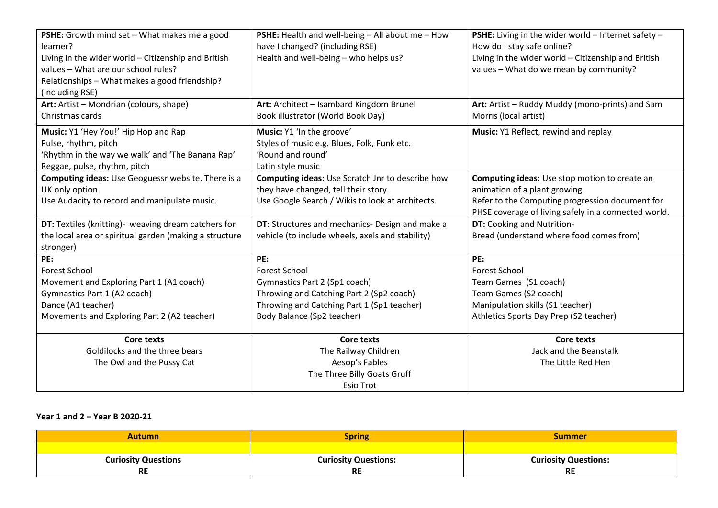| PSHE: Growth mind set - What makes me a good<br>learner?<br>Living in the wider world - Citizenship and British<br>values - What are our school rules?<br>Relationships - What makes a good friendship?<br>(including RSE) | PSHE: Health and well-being - All about me - How<br>have I changed? (including RSE)<br>Health and well-being - who helps us?                                                         | PSHE: Living in the wider world - Internet safety -<br>How do I stay safe online?<br>Living in the wider world - Citizenship and British<br>values - What do we mean by community?        |
|----------------------------------------------------------------------------------------------------------------------------------------------------------------------------------------------------------------------------|--------------------------------------------------------------------------------------------------------------------------------------------------------------------------------------|-------------------------------------------------------------------------------------------------------------------------------------------------------------------------------------------|
| Art: Artist - Mondrian (colours, shape)<br>Christmas cards                                                                                                                                                                 | Art: Architect - Isambard Kingdom Brunel<br>Book illustrator (World Book Day)                                                                                                        | Art: Artist - Ruddy Muddy (mono-prints) and Sam<br>Morris (local artist)                                                                                                                  |
| Music: Y1 'Hey You!' Hip Hop and Rap<br>Pulse, rhythm, pitch<br>'Rhythm in the way we walk' and 'The Banana Rap'<br>Reggae, pulse, rhythm, pitch                                                                           | Music: Y1 'In the groove'<br>Styles of music e.g. Blues, Folk, Funk etc.<br>'Round and round'<br>Latin style music                                                                   | Music: Y1 Reflect, rewind and replay                                                                                                                                                      |
| Computing ideas: Use Geoguessr website. There is a<br>UK only option.<br>Use Audacity to record and manipulate music.                                                                                                      | Computing ideas: Use Scratch Jnr to describe how<br>they have changed, tell their story.<br>Use Google Search / Wikis to look at architects.                                         | Computing ideas: Use stop motion to create an<br>animation of a plant growing.<br>Refer to the Computing progression document for<br>PHSE coverage of living safely in a connected world. |
| DT: Textiles (knitting)- weaving dream catchers for<br>the local area or spiritual garden (making a structure<br>stronger)                                                                                                 | DT: Structures and mechanics- Design and make a<br>vehicle (to include wheels, axels and stability)                                                                                  | DT: Cooking and Nutrition-<br>Bread (understand where food comes from)                                                                                                                    |
| PE:<br><b>Forest School</b><br>Movement and Exploring Part 1 (A1 coach)<br>Gymnastics Part 1 (A2 coach)<br>Dance (A1 teacher)<br>Movements and Exploring Part 2 (A2 teacher)                                               | PE:<br><b>Forest School</b><br>Gymnastics Part 2 (Sp1 coach)<br>Throwing and Catching Part 2 (Sp2 coach)<br>Throwing and Catching Part 1 (Sp1 teacher)<br>Body Balance (Sp2 teacher) | PE:<br><b>Forest School</b><br>Team Games (S1 coach)<br>Team Games (S2 coach)<br>Manipulation skills (S1 teacher)<br>Athletics Sports Day Prep (S2 teacher)                               |
| <b>Core texts</b><br>Goldilocks and the three bears<br>The Owl and the Pussy Cat                                                                                                                                           | <b>Core texts</b><br>The Railway Children<br>Aesop's Fables<br>The Three Billy Goats Gruff<br><b>Esio Trot</b>                                                                       | <b>Core texts</b><br>Jack and the Beanstalk<br>The Little Red Hen                                                                                                                         |

## **Year 1 and 2 – Year B 2020-21**

| Autumn                     | Spring                      | Summer                      |
|----------------------------|-----------------------------|-----------------------------|
|                            |                             |                             |
| <b>Curiosity Questions</b> | <b>Curiosity Questions:</b> | <b>Curiosity Questions:</b> |
| <b>RE</b>                  | <b>RE</b>                   | <b>RE</b>                   |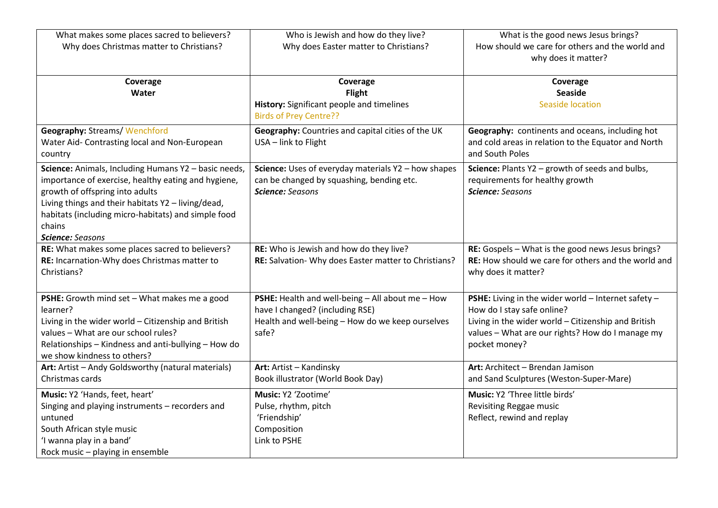| What makes some places sacred to believers?                                                                                                                                                                                                                                               | Who is Jewish and how do they live?                                                                                         | What is the good news Jesus brings?                                                                    |
|-------------------------------------------------------------------------------------------------------------------------------------------------------------------------------------------------------------------------------------------------------------------------------------------|-----------------------------------------------------------------------------------------------------------------------------|--------------------------------------------------------------------------------------------------------|
| Why does Christmas matter to Christians?                                                                                                                                                                                                                                                  | Why does Easter matter to Christians?                                                                                       | How should we care for others and the world and<br>why does it matter?                                 |
| Coverage                                                                                                                                                                                                                                                                                  | Coverage                                                                                                                    | Coverage                                                                                               |
| Water                                                                                                                                                                                                                                                                                     | Flight                                                                                                                      | <b>Seaside</b>                                                                                         |
|                                                                                                                                                                                                                                                                                           | History: Significant people and timelines<br><b>Birds of Prey Centre??</b>                                                  | <b>Seaside location</b>                                                                                |
| <b>Geography: Streams/ Wenchford</b>                                                                                                                                                                                                                                                      | Geography: Countries and capital cities of the UK                                                                           | Geography: continents and oceans, including hot                                                        |
| Water Aid- Contrasting local and Non-European<br>country                                                                                                                                                                                                                                  | USA - link to Flight                                                                                                        | and cold areas in relation to the Equator and North<br>and South Poles                                 |
| Science: Animals, Including Humans Y2 - basic needs,<br>importance of exercise, healthy eating and hygiene,<br>growth of offspring into adults<br>Living things and their habitats Y2 - living/dead,<br>habitats (including micro-habitats) and simple food<br>chains<br>Science: Seasons | Science: Uses of everyday materials Y2 - how shapes<br>can be changed by squashing, bending etc.<br><b>Science:</b> Seasons | Science: Plants Y2 - growth of seeds and bulbs,<br>requirements for healthy growth<br>Science: Seasons |
| RE: What makes some places sacred to believers?                                                                                                                                                                                                                                           | RE: Who is Jewish and how do they live?                                                                                     | RE: Gospels - What is the good news Jesus brings?                                                      |
| RE: Incarnation-Why does Christmas matter to<br>Christians?                                                                                                                                                                                                                               | RE: Salvation- Why does Easter matter to Christians?                                                                        | RE: How should we care for others and the world and<br>why does it matter?                             |
| PSHE: Growth mind set - What makes me a good                                                                                                                                                                                                                                              | PSHE: Health and well-being - All about me - How                                                                            | PSHE: Living in the wider world - Internet safety -                                                    |
| learner?                                                                                                                                                                                                                                                                                  | have I changed? (including RSE)                                                                                             | How do I stay safe online?                                                                             |
| Living in the wider world - Citizenship and British                                                                                                                                                                                                                                       | Health and well-being - How do we keep ourselves                                                                            | Living in the wider world - Citizenship and British                                                    |
| values - What are our school rules?                                                                                                                                                                                                                                                       | safe?                                                                                                                       | values - What are our rights? How do I manage my                                                       |
| Relationships - Kindness and anti-bullying - How do<br>we show kindness to others?                                                                                                                                                                                                        |                                                                                                                             | pocket money?                                                                                          |
| Art: Artist - Andy Goldsworthy (natural materials)                                                                                                                                                                                                                                        | Art: Artist - Kandinsky                                                                                                     | Art: Architect - Brendan Jamison                                                                       |
| Christmas cards                                                                                                                                                                                                                                                                           | Book illustrator (World Book Day)                                                                                           | and Sand Sculptures (Weston-Super-Mare)                                                                |
| Music: Y2 'Hands, feet, heart'                                                                                                                                                                                                                                                            | Music: Y2 'Zootime'                                                                                                         | Music: Y2 'Three little birds'                                                                         |
| Singing and playing instruments - recorders and                                                                                                                                                                                                                                           | Pulse, rhythm, pitch                                                                                                        | Revisiting Reggae music                                                                                |
| untuned                                                                                                                                                                                                                                                                                   | 'Friendship'                                                                                                                | Reflect, rewind and replay                                                                             |
| South African style music                                                                                                                                                                                                                                                                 | Composition                                                                                                                 |                                                                                                        |
| 'I wanna play in a band'                                                                                                                                                                                                                                                                  | Link to PSHE                                                                                                                |                                                                                                        |
| Rock music - playing in ensemble                                                                                                                                                                                                                                                          |                                                                                                                             |                                                                                                        |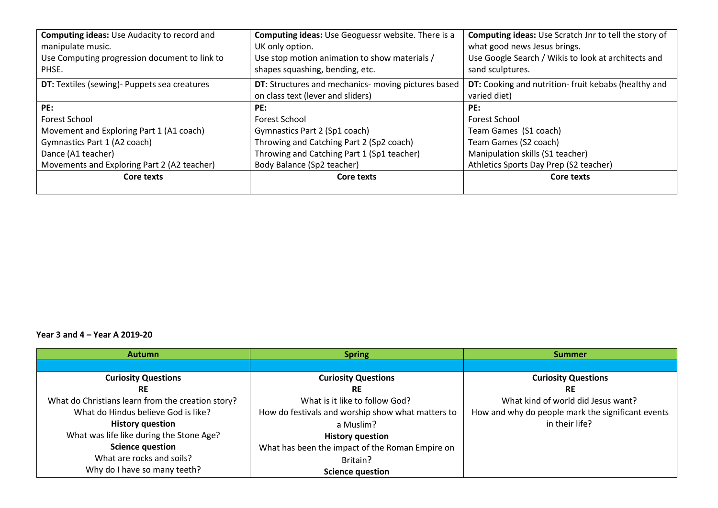| <b>Computing ideas: Use Audacity to record and</b><br>manipulate music.<br>Use Computing progression document to link to<br>PHSE. | <b>Computing ideas:</b> Use Geoguessr website. There is a<br>UK only option.<br>Use stop motion animation to show materials /<br>shapes squashing, bending, etc. | Computing ideas: Use Scratch Jnr to tell the story of<br>what good news Jesus brings.<br>Use Google Search / Wikis to look at architects and<br>sand sculptures. |
|-----------------------------------------------------------------------------------------------------------------------------------|------------------------------------------------------------------------------------------------------------------------------------------------------------------|------------------------------------------------------------------------------------------------------------------------------------------------------------------|
| <b>DT:</b> Textiles (sewing)- Puppets sea creatures                                                                               | <b>DT:</b> Structures and mechanics- moving pictures based                                                                                                       | DT: Cooking and nutrition-fruit kebabs (healthy and                                                                                                              |
|                                                                                                                                   | on class text (lever and sliders)                                                                                                                                | varied diet)                                                                                                                                                     |
| PE:                                                                                                                               | PE:                                                                                                                                                              | PE:                                                                                                                                                              |
| <b>Forest School</b>                                                                                                              | <b>Forest School</b>                                                                                                                                             | Forest School                                                                                                                                                    |
| Movement and Exploring Part 1 (A1 coach)                                                                                          | Gymnastics Part 2 (Sp1 coach)                                                                                                                                    | Team Games (S1 coach)                                                                                                                                            |
| Gymnastics Part 1 (A2 coach)                                                                                                      | Throwing and Catching Part 2 (Sp2 coach)                                                                                                                         | Team Games (S2 coach)                                                                                                                                            |
| Dance (A1 teacher)                                                                                                                | Throwing and Catching Part 1 (Sp1 teacher)                                                                                                                       | Manipulation skills (S1 teacher)                                                                                                                                 |
| Movements and Exploring Part 2 (A2 teacher)                                                                                       | Body Balance (Sp2 teacher)                                                                                                                                       | Athletics Sports Day Prep (S2 teacher)                                                                                                                           |
| Core texts                                                                                                                        | Core texts                                                                                                                                                       | Core texts                                                                                                                                                       |

#### **Year 3 and 4 – Year A 2019-20**

| <b>Autumn</b>                                     | <b>Spring</b>                                     | <b>Summer</b>                                     |
|---------------------------------------------------|---------------------------------------------------|---------------------------------------------------|
|                                                   |                                                   |                                                   |
| <b>Curiosity Questions</b>                        | <b>Curiosity Questions</b>                        | <b>Curiosity Questions</b>                        |
| <b>RE</b>                                         | <b>RE</b>                                         | <b>RE</b>                                         |
| What do Christians learn from the creation story? | What is it like to follow God?                    | What kind of world did Jesus want?                |
| What do Hindus believe God is like?               | How do festivals and worship show what matters to | How and why do people mark the significant events |
| <b>History question</b>                           | a Muslim?                                         | in their life?                                    |
| What was life like during the Stone Age?          | <b>History question</b>                           |                                                   |
| <b>Science question</b>                           | What has been the impact of the Roman Empire on   |                                                   |
| What are rocks and soils?                         | Britain?                                          |                                                   |
| Why do I have so many teeth?                      | <b>Science question</b>                           |                                                   |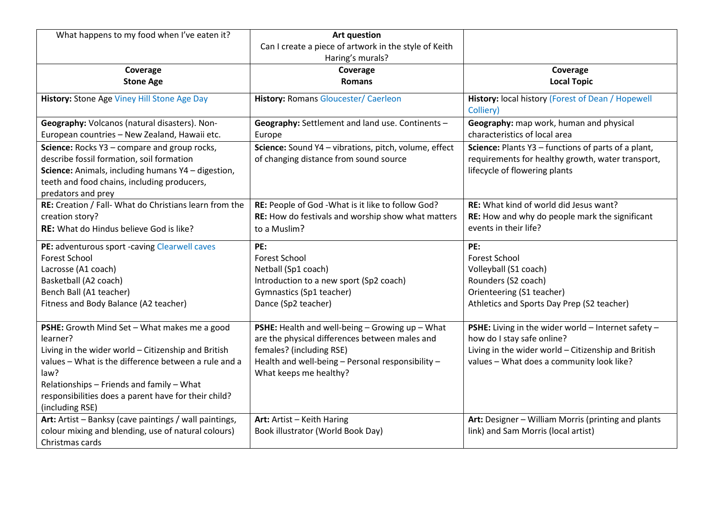| What happens to my food when I've eaten it?                                                                                                                                                                                                                                                             | <b>Art question</b><br>Can I create a piece of artwork in the style of Keith<br>Haring's murals?                                                                                                             |                                                                                                                                                                                           |
|---------------------------------------------------------------------------------------------------------------------------------------------------------------------------------------------------------------------------------------------------------------------------------------------------------|--------------------------------------------------------------------------------------------------------------------------------------------------------------------------------------------------------------|-------------------------------------------------------------------------------------------------------------------------------------------------------------------------------------------|
| Coverage<br><b>Stone Age</b>                                                                                                                                                                                                                                                                            | Coverage<br><b>Romans</b>                                                                                                                                                                                    | Coverage<br><b>Local Topic</b>                                                                                                                                                            |
| History: Stone Age Viney Hill Stone Age Day                                                                                                                                                                                                                                                             | <b>History: Romans Gloucester/ Caerleon</b>                                                                                                                                                                  | History: local history (Forest of Dean / Hopewell<br>Colliery)                                                                                                                            |
| Geography: Volcanos (natural disasters). Non-<br>European countries - New Zealand, Hawaii etc.                                                                                                                                                                                                          | Geography: Settlement and land use. Continents -<br>Europe                                                                                                                                                   | Geography: map work, human and physical<br>characteristics of local area                                                                                                                  |
| Science: Rocks Y3 - compare and group rocks,<br>describe fossil formation, soil formation<br>Science: Animals, including humans Y4 - digestion,<br>teeth and food chains, including producers,<br>predators and prey                                                                                    | Science: Sound Y4 - vibrations, pitch, volume, effect<br>of changing distance from sound source                                                                                                              | Science: Plants Y3 - functions of parts of a plant,<br>requirements for healthy growth, water transport,<br>lifecycle of flowering plants                                                 |
| RE: Creation / Fall- What do Christians learn from the<br>creation story?<br><b>RE:</b> What do Hindus believe God is like?                                                                                                                                                                             | RE: People of God - What is it like to follow God?<br>RE: How do festivals and worship show what matters<br>to a Muslim?                                                                                     | RE: What kind of world did Jesus want?<br>RE: How and why do people mark the significant<br>events in their life?                                                                         |
| PE: adventurous sport -caving Clearwell caves<br><b>Forest School</b><br>Lacrosse (A1 coach)<br>Basketball (A2 coach)<br>Bench Ball (A1 teacher)<br>Fitness and Body Balance (A2 teacher)                                                                                                               | PE:<br><b>Forest School</b><br>Netball (Sp1 coach)<br>Introduction to a new sport (Sp2 coach)<br>Gymnastics (Sp1 teacher)<br>Dance (Sp2 teacher)                                                             | PE:<br><b>Forest School</b><br>Volleyball (S1 coach)<br>Rounders (S2 coach)<br>Orienteering (S1 teacher)<br>Athletics and Sports Day Prep (S2 teacher)                                    |
| PSHE: Growth Mind Set - What makes me a good<br>learner?<br>Living in the wider world - Citizenship and British<br>values - What is the difference between a rule and a<br>law?<br>Relationships - Friends and family - What<br>responsibilities does a parent have for their child?<br>(including RSE) | PSHE: Health and well-being - Growing up - What<br>are the physical differences between males and<br>females? (including RSE)<br>Health and well-being - Personal responsibility -<br>What keeps me healthy? | PSHE: Living in the wider world $-$ Internet safety $-$<br>how do I stay safe online?<br>Living in the wider world - Citizenship and British<br>values - What does a community look like? |
| Art: Artist - Banksy (cave paintings / wall paintings,<br>colour mixing and blending, use of natural colours)<br>Christmas cards                                                                                                                                                                        | Art: Artist - Keith Haring<br>Book illustrator (World Book Day)                                                                                                                                              | Art: Designer - William Morris (printing and plants<br>link) and Sam Morris (local artist)                                                                                                |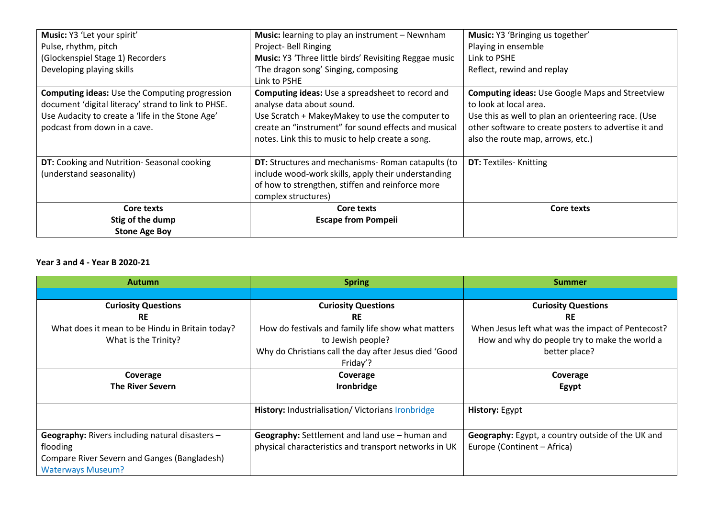| Music: Y3 'Let your spirit'                                                                                                                                                                      | Music: learning to play an instrument - Newnham                                                                                                                                                                                                     | Music: Y3 'Bringing us together'                                                                                                                                                                                                     |
|--------------------------------------------------------------------------------------------------------------------------------------------------------------------------------------------------|-----------------------------------------------------------------------------------------------------------------------------------------------------------------------------------------------------------------------------------------------------|--------------------------------------------------------------------------------------------------------------------------------------------------------------------------------------------------------------------------------------|
| Pulse, rhythm, pitch                                                                                                                                                                             | Project- Bell Ringing                                                                                                                                                                                                                               | Playing in ensemble                                                                                                                                                                                                                  |
| (Glockenspiel Stage 1) Recorders                                                                                                                                                                 | Music: Y3 'Three little birds' Revisiting Reggae music                                                                                                                                                                                              | Link to PSHE                                                                                                                                                                                                                         |
| Developing playing skills                                                                                                                                                                        | 'The dragon song' Singing, composing                                                                                                                                                                                                                | Reflect, rewind and replay                                                                                                                                                                                                           |
|                                                                                                                                                                                                  | Link to PSHE                                                                                                                                                                                                                                        |                                                                                                                                                                                                                                      |
| <b>Computing ideas:</b> Use the Computing progression<br>document 'digital literacy' strand to link to PHSE.<br>Use Audacity to create a 'life in the Stone Age'<br>podcast from down in a cave. | <b>Computing ideas:</b> Use a spreadsheet to record and<br>analyse data about sound.<br>Use Scratch + MakeyMakey to use the computer to<br>create an "instrument" for sound effects and musical<br>notes. Link this to music to help create a song. | <b>Computing ideas: Use Google Maps and Streetview</b><br>to look at local area.<br>Use this as well to plan an orienteering race. (Use<br>other software to create posters to advertise it and<br>also the route map, arrows, etc.) |
| DT: Cooking and Nutrition-Seasonal cooking                                                                                                                                                       | DT: Structures and mechanisms- Roman catapults (to                                                                                                                                                                                                  | <b>DT:</b> Textiles- Knitting                                                                                                                                                                                                        |
| (understand seasonality)                                                                                                                                                                         | include wood-work skills, apply their understanding<br>of how to strengthen, stiffen and reinforce more<br>complex structures)                                                                                                                      |                                                                                                                                                                                                                                      |
| Core texts                                                                                                                                                                                       | Core texts                                                                                                                                                                                                                                          | Core texts                                                                                                                                                                                                                           |
| Stig of the dump                                                                                                                                                                                 | <b>Escape from Pompeii</b>                                                                                                                                                                                                                          |                                                                                                                                                                                                                                      |
| <b>Stone Age Boy</b>                                                                                                                                                                             |                                                                                                                                                                                                                                                     |                                                                                                                                                                                                                                      |

#### **Year 3 and 4 - Year B 2020-21**

| <b>Autumn</b>                                   | <b>Spring</b>                                         | <b>Summer</b>                                     |
|-------------------------------------------------|-------------------------------------------------------|---------------------------------------------------|
|                                                 |                                                       |                                                   |
| <b>Curiosity Questions</b>                      | <b>Curiosity Questions</b>                            | <b>Curiosity Questions</b>                        |
| <b>RE</b>                                       | <b>RE</b>                                             | <b>RE</b>                                         |
| What does it mean to be Hindu in Britain today? | How do festivals and family life show what matters    | When Jesus left what was the impact of Pentecost? |
| What is the Trinity?                            | to Jewish people?                                     | How and why do people try to make the world a     |
|                                                 | Why do Christians call the day after Jesus died 'Good | better place?                                     |
|                                                 | Friday'?                                              |                                                   |
| Coverage                                        | Coverage                                              | Coverage                                          |
| <b>The River Severn</b>                         | Ironbridge                                            | Egypt                                             |
|                                                 |                                                       |                                                   |
|                                                 | History: Industrialisation/ Victorians Ironbridge     | <b>History: Egypt</b>                             |
|                                                 |                                                       |                                                   |
| Geography: Rivers including natural disasters - | Geography: Settlement and land use - human and        | Geography: Egypt, a country outside of the UK and |
| flooding                                        | physical characteristics and transport networks in UK | Europe (Continent - Africa)                       |
| Compare River Severn and Ganges (Bangladesh)    |                                                       |                                                   |
| <b>Waterways Museum?</b>                        |                                                       |                                                   |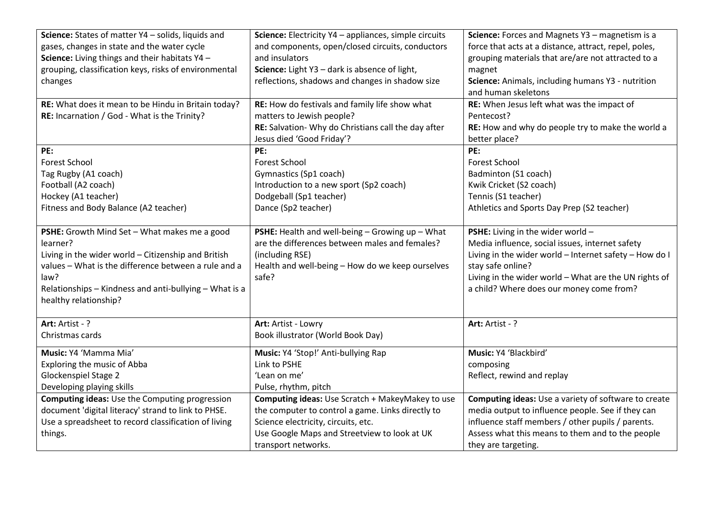| Science: States of matter Y4 - solids, liquids and     | Science: Electricity Y4 - appliances, simple circuits | Science: Forces and Magnets Y3 - magnetism is a        |
|--------------------------------------------------------|-------------------------------------------------------|--------------------------------------------------------|
| gases, changes in state and the water cycle            | and components, open/closed circuits, conductors      | force that acts at a distance, attract, repel, poles,  |
| Science: Living things and their habitats Y4 -         | and insulators                                        | grouping materials that are/are not attracted to a     |
| grouping, classification keys, risks of environmental  | Science: Light Y3 - dark is absence of light,         | magnet                                                 |
| changes                                                | reflections, shadows and changes in shadow size       | Science: Animals, including humans Y3 - nutrition      |
|                                                        |                                                       | and human skeletons                                    |
| RE: What does it mean to be Hindu in Britain today?    | RE: How do festivals and family life show what        | RE: When Jesus left what was the impact of             |
| RE: Incarnation / God - What is the Trinity?           | matters to Jewish people?                             | Pentecost?                                             |
|                                                        | RE: Salvation- Why do Christians call the day after   | RE: How and why do people try to make the world a      |
|                                                        | Jesus died 'Good Friday'?                             | better place?                                          |
| PE:                                                    | PE:                                                   | PE:                                                    |
| <b>Forest School</b>                                   | <b>Forest School</b>                                  | <b>Forest School</b>                                   |
| Tag Rugby (A1 coach)                                   | Gymnastics (Sp1 coach)                                | Badminton (S1 coach)                                   |
| Football (A2 coach)                                    | Introduction to a new sport (Sp2 coach)               | Kwik Cricket (S2 coach)                                |
| Hockey (A1 teacher)                                    | Dodgeball (Sp1 teacher)                               | Tennis (S1 teacher)                                    |
| Fitness and Body Balance (A2 teacher)                  | Dance (Sp2 teacher)                                   | Athletics and Sports Day Prep (S2 teacher)             |
|                                                        |                                                       |                                                        |
| PSHE: Growth Mind Set - What makes me a good           | PSHE: Health and well-being - Growing up - What       | PSHE: Living in the wider world -                      |
| learner?                                               | are the differences between males and females?        | Media influence, social issues, internet safety        |
| Living in the wider world - Citizenship and British    | (including RSE)                                       | Living in the wider world - Internet safety - How do I |
| values - What is the difference between a rule and a   | Health and well-being - How do we keep ourselves      | stay safe online?                                      |
| law?                                                   | safe?                                                 | Living in the wider world - What are the UN rights of  |
| Relationships - Kindness and anti-bullying - What is a |                                                       | a child? Where does our money come from?               |
| healthy relationship?                                  |                                                       |                                                        |
|                                                        |                                                       |                                                        |
| Art: Artist - ?                                        | Art: Artist - Lowry                                   | Art: Artist - ?                                        |
| Christmas cards                                        | Book illustrator (World Book Day)                     |                                                        |
| Music: Y4 'Mamma Mia'                                  | Music: Y4 'Stop!' Anti-bullying Rap                   | Music: Y4 'Blackbird'                                  |
| Exploring the music of Abba                            | Link to PSHE                                          | composing                                              |
| Glockenspiel Stage 2                                   | 'Lean on me'                                          | Reflect, rewind and replay                             |
| Developing playing skills                              | Pulse, rhythm, pitch                                  |                                                        |
| <b>Computing ideas:</b> Use the Computing progression  | Computing ideas: Use Scratch + MakeyMakey to use      | Computing ideas: Use a variety of software to create   |
| document 'digital literacy' strand to link to PHSE.    | the computer to control a game. Links directly to     | media output to influence people. See if they can      |
| Use a spreadsheet to record classification of living   | Science electricity, circuits, etc.                   | influence staff members / other pupils / parents.      |
| things.                                                | Use Google Maps and Streetview to look at UK          | Assess what this means to them and to the people       |
|                                                        | transport networks.                                   | they are targeting.                                    |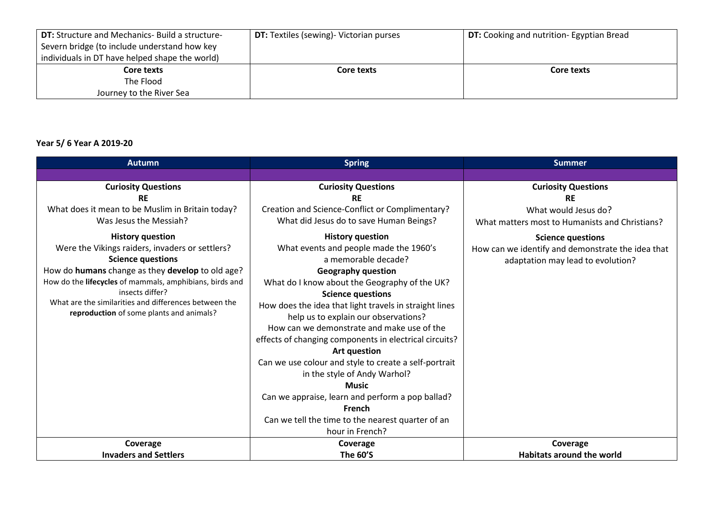| <b>DT:</b> Structure and Mechanics- Build a structure- | <b>DT:</b> Textiles (sewing) - Victorian purses | <b>DT:</b> Cooking and nutrition- Egyptian Bread |
|--------------------------------------------------------|-------------------------------------------------|--------------------------------------------------|
| Severn bridge (to include understand how key           |                                                 |                                                  |
| individuals in DT have helped shape the world)         |                                                 |                                                  |
| Core texts                                             | Core texts                                      | Core texts                                       |
| The Flood                                              |                                                 |                                                  |
| Journey to the River Sea                               |                                                 |                                                  |

# **Year 5/ 6 Year A 2019-20**

| <b>Autumn</b>                                           | <b>Spring</b>                                          | <b>Summer</b>                                     |
|---------------------------------------------------------|--------------------------------------------------------|---------------------------------------------------|
|                                                         |                                                        |                                                   |
| <b>Curiosity Questions</b>                              | <b>Curiosity Questions</b>                             | <b>Curiosity Questions</b>                        |
| <b>RE</b>                                               | <b>RE</b>                                              | <b>RE</b>                                         |
| What does it mean to be Muslim in Britain today?        | Creation and Science-Conflict or Complimentary?        | What would Jesus do?                              |
| Was Jesus the Messiah?                                  | What did Jesus do to save Human Beings?                | What matters most to Humanists and Christians?    |
| <b>History question</b>                                 | <b>History question</b>                                | <b>Science questions</b>                          |
| Were the Vikings raiders, invaders or settlers?         | What events and people made the 1960's                 | How can we identify and demonstrate the idea that |
| <b>Science questions</b>                                | a memorable decade?                                    | adaptation may lead to evolution?                 |
| How do humans change as they develop to old age?        | <b>Geography question</b>                              |                                                   |
| How do the lifecycles of mammals, amphibians, birds and | What do I know about the Geography of the UK?          |                                                   |
| insects differ?                                         | <b>Science questions</b>                               |                                                   |
| What are the similarities and differences between the   | How does the idea that light travels in straight lines |                                                   |
| reproduction of some plants and animals?                | help us to explain our observations?                   |                                                   |
|                                                         | How can we demonstrate and make use of the             |                                                   |
|                                                         | effects of changing components in electrical circuits? |                                                   |
|                                                         | <b>Art question</b>                                    |                                                   |
|                                                         | Can we use colour and style to create a self-portrait  |                                                   |
|                                                         | in the style of Andy Warhol?                           |                                                   |
|                                                         | <b>Music</b>                                           |                                                   |
|                                                         | Can we appraise, learn and perform a pop ballad?       |                                                   |
|                                                         | French                                                 |                                                   |
|                                                         | Can we tell the time to the nearest quarter of an      |                                                   |
|                                                         | hour in French?                                        |                                                   |
| Coverage                                                | Coverage                                               | Coverage                                          |
| <b>Invaders and Settlers</b>                            | <b>The 60'S</b>                                        | <b>Habitats around the world</b>                  |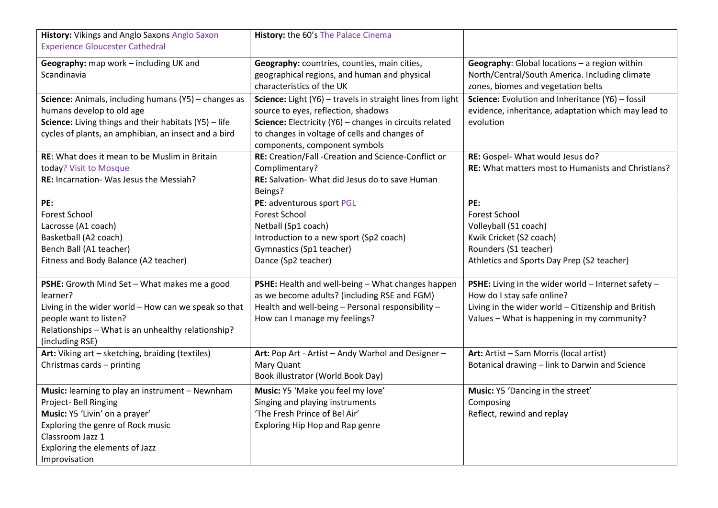| History: Vikings and Anglo Saxons Anglo Saxon<br><b>Experience Gloucester Cathedral</b>                                                                                                                                | History: the 60's The Palace Cinema                                                                                                                                                                                                            |                                                                                                                                                                                         |
|------------------------------------------------------------------------------------------------------------------------------------------------------------------------------------------------------------------------|------------------------------------------------------------------------------------------------------------------------------------------------------------------------------------------------------------------------------------------------|-----------------------------------------------------------------------------------------------------------------------------------------------------------------------------------------|
| Geography: map work - including UK and<br>Scandinavia                                                                                                                                                                  | Geography: countries, counties, main cities,<br>geographical regions, and human and physical<br>characteristics of the UK                                                                                                                      | Geography: Global locations - a region within<br>North/Central/South America. Including climate<br>zones, biomes and vegetation belts                                                   |
| Science: Animals, including humans (Y5) - changes as<br>humans develop to old age<br>Science: Living things and their habitats (Y5) - life<br>cycles of plants, an amphibian, an insect and a bird                     | Science: Light (Y6) - travels in straight lines from light<br>source to eyes, reflection, shadows<br>Science: Electricity (Y6) - changes in circuits related<br>to changes in voltage of cells and changes of<br>components, component symbols | Science: Evolution and Inheritance (Y6) - fossil<br>evidence, inheritance, adaptation which may lead to<br>evolution                                                                    |
| <b>RE:</b> What does it mean to be Muslim in Britain<br>today? Visit to Mosque<br>RE: Incarnation- Was Jesus the Messiah?                                                                                              | RE: Creation/Fall -Creation and Science-Conflict or<br>Complimentary?<br>RE: Salvation- What did Jesus do to save Human<br>Beings?                                                                                                             | RE: Gospel- What would Jesus do?<br><b>RE:</b> What matters most to Humanists and Christians?                                                                                           |
| PE:<br><b>Forest School</b><br>Lacrosse (A1 coach)<br>Basketball (A2 coach)<br>Bench Ball (A1 teacher)<br>Fitness and Body Balance (A2 teacher)                                                                        | PE: adventurous sport PGL<br><b>Forest School</b><br>Netball (Sp1 coach)<br>Introduction to a new sport (Sp2 coach)<br>Gymnastics (Sp1 teacher)<br>Dance (Sp2 teacher)                                                                         | PE:<br><b>Forest School</b><br>Volleyball (S1 coach)<br>Kwik Cricket (S2 coach)<br>Rounders (S1 teacher)<br>Athletics and Sports Day Prep (S2 teacher)                                  |
| PSHE: Growth Mind Set - What makes me a good<br>learner?<br>Living in the wider world - How can we speak so that<br>people want to listen?<br>Relationships - What is an unhealthy relationship?<br>(including RSE)    | PSHE: Health and well-being - What changes happen<br>as we become adults? (including RSE and FGM)<br>Health and well-being - Personal responsibility -<br>How can I manage my feelings?                                                        | PSHE: Living in the wider world - Internet safety -<br>How do I stay safe online?<br>Living in the wider world - Citizenship and British<br>Values - What is happening in my community? |
| Art: Viking art - sketching, braiding (textiles)<br>Christmas cards - printing                                                                                                                                         | Art: Pop Art - Artist - Andy Warhol and Designer -<br>Mary Quant<br>Book illustrator (World Book Day)                                                                                                                                          | Art: Artist - Sam Morris (local artist)<br>Botanical drawing - link to Darwin and Science                                                                                               |
| Music: learning to play an instrument - Newnham<br>Project- Bell Ringing<br>Music: Y5 'Livin' on a prayer'<br>Exploring the genre of Rock music<br>Classroom Jazz 1<br>Exploring the elements of Jazz<br>Improvisation | Music: Y5 'Make you feel my love'<br>Singing and playing instruments<br>'The Fresh Prince of Bel Air'<br>Exploring Hip Hop and Rap genre                                                                                                       | Music: Y5 'Dancing in the street'<br>Composing<br>Reflect, rewind and replay                                                                                                            |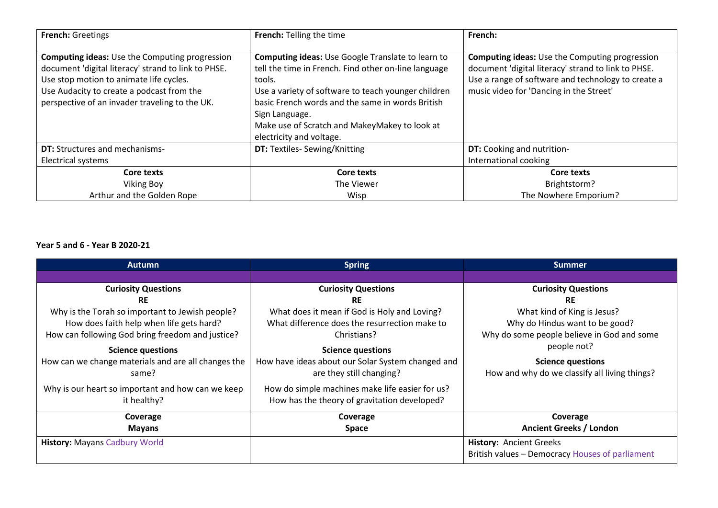| <b>French: Greetings</b>                                                                                                                                                                                                                               | <b>French: Telling the time</b>                                                                                                                                                                                                                                                                                                      | French:                                                                                                                                                                                                       |
|--------------------------------------------------------------------------------------------------------------------------------------------------------------------------------------------------------------------------------------------------------|--------------------------------------------------------------------------------------------------------------------------------------------------------------------------------------------------------------------------------------------------------------------------------------------------------------------------------------|---------------------------------------------------------------------------------------------------------------------------------------------------------------------------------------------------------------|
| <b>Computing ideas:</b> Use the Computing progression<br>document 'digital literacy' strand to link to PHSE.<br>Use stop motion to animate life cycles.<br>Use Audacity to create a podcast from the<br>perspective of an invader traveling to the UK. | <b>Computing ideas:</b> Use Google Translate to learn to<br>tell the time in French. Find other on-line language<br>tools.<br>Use a variety of software to teach younger children<br>basic French words and the same in words British<br>Sign Language.<br>Make use of Scratch and MakeyMakey to look at<br>electricity and voltage. | <b>Computing ideas:</b> Use the Computing progression<br>document 'digital literacy' strand to link to PHSE.<br>Use a range of software and technology to create a<br>music video for 'Dancing in the Street' |
| <b>DT:</b> Structures and mechanisms-<br><b>Electrical systems</b>                                                                                                                                                                                     | <b>DT:</b> Textiles- Sewing/Knitting                                                                                                                                                                                                                                                                                                 | <b>DT:</b> Cooking and nutrition-<br>International cooking                                                                                                                                                    |
| Core texts<br><b>Viking Boy</b><br>Arthur and the Golden Rope                                                                                                                                                                                          | Core texts<br>The Viewer<br>Wisp                                                                                                                                                                                                                                                                                                     | Core texts<br>Brightstorm?<br>The Nowhere Emporium?                                                                                                                                                           |

## **Year 5 and 6 - Year B 2020-21**

| <b>Autumn</b>                                       | <b>Spring</b>                                     | <b>Summer</b>                                   |
|-----------------------------------------------------|---------------------------------------------------|-------------------------------------------------|
|                                                     |                                                   |                                                 |
| <b>Curiosity Questions</b>                          | <b>Curiosity Questions</b>                        | <b>Curiosity Questions</b>                      |
| <b>RE</b>                                           | <b>RE</b>                                         | <b>RE</b>                                       |
| Why is the Torah so important to Jewish people?     | What does it mean if God is Holy and Loving?      | What kind of King is Jesus?                     |
| How does faith help when life gets hard?            | What difference does the resurrection make to     | Why do Hindus want to be good?                  |
| How can following God bring freedom and justice?    | Christians?                                       | Why do some people believe in God and some      |
| <b>Science questions</b>                            | <b>Science questions</b>                          | people not?                                     |
| How can we change materials and are all changes the | How have ideas about our Solar System changed and | <b>Science questions</b>                        |
| same?                                               | are they still changing?                          | How and why do we classify all living things?   |
| Why is our heart so important and how can we keep   | How do simple machines make life easier for us?   |                                                 |
| it healthy?                                         | How has the theory of gravitation developed?      |                                                 |
| Coverage                                            | Coverage                                          | Coverage                                        |
| <b>Mayans</b>                                       | <b>Space</b>                                      | <b>Ancient Greeks / London</b>                  |
| <b>History: Mayans Cadbury World</b>                |                                                   | <b>History: Ancient Greeks</b>                  |
|                                                     |                                                   | British values - Democracy Houses of parliament |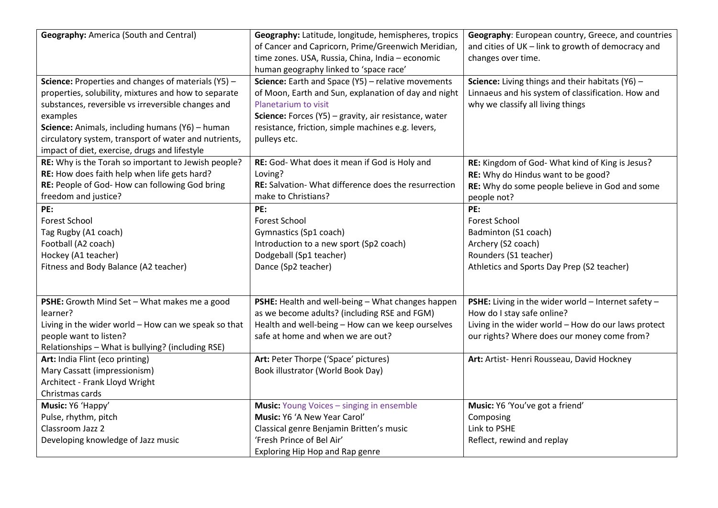| <b>Geography:</b> America (South and Central)<br>Science: Properties and changes of materials (Y5) -                                                                                                                                                                                | Geography: Latitude, longitude, hemispheres, tropics<br>of Cancer and Capricorn, Prime/Greenwich Meridian,<br>time zones. USA, Russia, China, India - economic<br>human geography linked to 'space race'<br>Science: Earth and Space (Y5) - relative movements | Geography: European country, Greece, and countries<br>and cities of UK - link to growth of democracy and<br>changes over time.<br>Science: Living things and their habitats $(Y6)$ -    |
|-------------------------------------------------------------------------------------------------------------------------------------------------------------------------------------------------------------------------------------------------------------------------------------|----------------------------------------------------------------------------------------------------------------------------------------------------------------------------------------------------------------------------------------------------------------|-----------------------------------------------------------------------------------------------------------------------------------------------------------------------------------------|
| properties, solubility, mixtures and how to separate<br>substances, reversible vs irreversible changes and<br>examples<br>Science: Animals, including humans (Y6) - human<br>circulatory system, transport of water and nutrients,<br>impact of diet, exercise, drugs and lifestyle | of Moon, Earth and Sun, explanation of day and night<br>Planetarium to visit<br>Science: Forces (Y5) - gravity, air resistance, water<br>resistance, friction, simple machines e.g. levers,<br>pulleys etc.                                                    | Linnaeus and his system of classification. How and<br>why we classify all living things                                                                                                 |
| RE: Why is the Torah so important to Jewish people?<br>RE: How does faith help when life gets hard?<br>RE: People of God- How can following God bring<br>freedom and justice?                                                                                                       | RE: God- What does it mean if God is Holy and<br>Loving?<br>RE: Salvation- What difference does the resurrection<br>make to Christians?                                                                                                                        | RE: Kingdom of God- What kind of King is Jesus?<br>RE: Why do Hindus want to be good?<br>RE: Why do some people believe in God and some<br>people not?                                  |
| PE:<br><b>Forest School</b><br>Tag Rugby (A1 coach)<br>Football (A2 coach)<br>Hockey (A1 teacher)<br>Fitness and Body Balance (A2 teacher)                                                                                                                                          | PE:<br><b>Forest School</b><br>Gymnastics (Sp1 coach)<br>Introduction to a new sport (Sp2 coach)<br>Dodgeball (Sp1 teacher)<br>Dance (Sp2 teacher)                                                                                                             | PE:<br><b>Forest School</b><br>Badminton (S1 coach)<br>Archery (S2 coach)<br>Rounders (S1 teacher)<br>Athletics and Sports Day Prep (S2 teacher)                                        |
| PSHE: Growth Mind Set - What makes me a good<br>learner?<br>Living in the wider world - How can we speak so that<br>people want to listen?<br>Relationships - What is bullying? (including RSE)                                                                                     | PSHE: Health and well-being - What changes happen<br>as we become adults? (including RSE and FGM)<br>Health and well-being - How can we keep ourselves<br>safe at home and when we are out?                                                                    | PSHE: Living in the wider world - Internet safety -<br>How do I stay safe online?<br>Living in the wider world - How do our laws protect<br>our rights? Where does our money come from? |
| Art: India Flint (eco printing)<br>Mary Cassatt (impressionism)<br>Architect - Frank Lloyd Wright<br>Christmas cards                                                                                                                                                                | Art: Peter Thorpe ('Space' pictures)<br>Book illustrator (World Book Day)                                                                                                                                                                                      | Art: Artist-Henri Rousseau, David Hockney                                                                                                                                               |
| Music: Y6 'Happy'<br>Pulse, rhythm, pitch<br>Classroom Jazz 2<br>Developing knowledge of Jazz music                                                                                                                                                                                 | <b>Music:</b> Young Voices - singing in ensemble<br>Music: Y6 'A New Year Carol'<br>Classical genre Benjamin Britten's music<br>'Fresh Prince of Bel Air'<br>Exploring Hip Hop and Rap genre                                                                   | Music: Y6 'You've got a friend'<br>Composing<br>Link to PSHE<br>Reflect, rewind and replay                                                                                              |